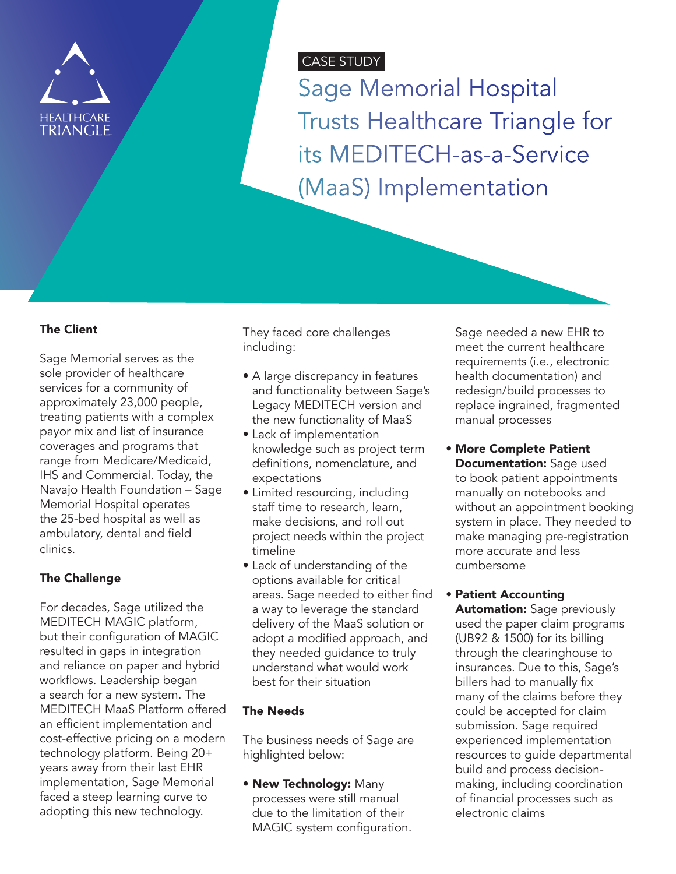

# CASE STUDY

Sage Memorial Hospital Trusts Healthcare Triangle for its MEDITECH-as-a-Service (MaaS) Implementation

#### The Client

Sage Memorial serves as the sole provider of healthcare services for a community of approximately 23,000 people, treating patients with a complex payor mix and list of insurance coverages and programs that range from Medicare/Medicaid, IHS and Commercial. Today, the Navajo Health Foundation – Sage Memorial Hospital operates the 25-bed hospital as well as ambulatory, dental and field clinics.

# The Challenge

For decades, Sage utilized the MEDITECH MAGIC platform, but their configuration of MAGIC resulted in gaps in integration and reliance on paper and hybrid workflows. Leadership began a search for a new system. The MEDITECH MaaS Platform offered an efficient implementation and cost-effective pricing on a modern technology platform. Being 20+ years away from their last EHR implementation, Sage Memorial faced a steep learning curve to adopting this new technology.

They faced core challenges including:

- A large discrepancy in features and functionality between Sage's Legacy MEDITECH version and the new functionality of MaaS
- Lack of implementation knowledge such as project term definitions, nomenclature, and expectations
- Limited resourcing, including staff time to research, learn, make decisions, and roll out project needs within the project timeline
- Lack of understanding of the options available for critical areas. Sage needed to either find a way to leverage the standard delivery of the MaaS solution or adopt a modified approach, and they needed guidance to truly understand what would work best for their situation

#### The Needs

The business needs of Sage are highlighted below:

• New Technology: Many processes were still manual due to the limitation of their MAGIC system configuration. Sage needed a new EHR to meet the current healthcare requirements (i.e., electronic health documentation) and redesign/build processes to replace ingrained, fragmented manual processes

• More Complete Patient Documentation: Sage used to book patient appointments manually on notebooks and without an appointment booking system in place. They needed to make managing pre-registration more accurate and less cumbersome

# • Patient Accounting

**Automation:** Sage previously used the paper claim programs (UB92 & 1500) for its billing through the clearinghouse to insurances. Due to this, Sage's billers had to manually fix many of the claims before they could be accepted for claim submission. Sage required experienced implementation resources to guide departmental build and process decisionmaking, including coordination of financial processes such as electronic claims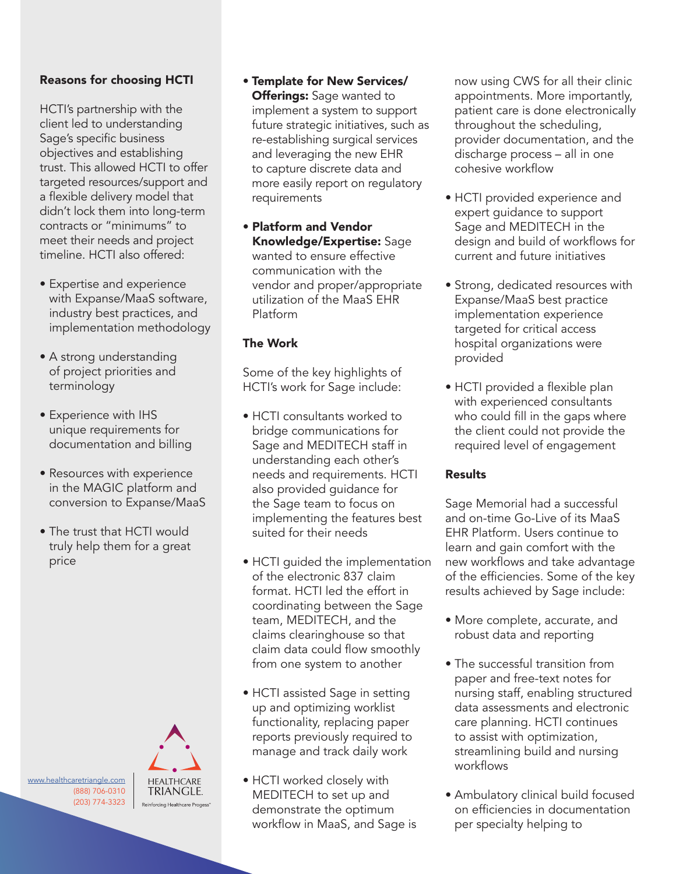# Reasons for choosing HCTI

HCTI's partnership with the client led to understanding Sage's specific business objectives and establishing trust. This allowed HCTI to offer targeted resources/support and a flexible delivery model that didn't lock them into long-term contracts or "minimums" to meet their needs and project timeline. HCTI also offered:

- Expertise and experience with Expanse/MaaS software, industry best practices, and implementation methodology
- A strong understanding of project priorities and terminology
- Experience with IHS unique requirements for documentation and billing
- Resources with experience in the MAGIC platform and conversion to Expanse/MaaS
- The trust that HCTI would truly help them for a great price

[www.healthcaretriangle.com](http://www.healthcaretriangle.com ) (888) 706-0310 (203) 774-3323



- Template for New Services/ **Offerings:** Sage wanted to implement a system to support future strategic initiatives, such as re-establishing surgical services and leveraging the new EHR to capture discrete data and more easily report on regulatory requirements
- Platform and Vendor Knowledge/Expertise: Sage wanted to ensure effective communication with the vendor and proper/appropriate utilization of the MaaS EHR Platform

#### The Work

Some of the key highlights of HCTI's work for Sage include:

- HCTI consultants worked to bridge communications for Sage and MEDITECH staff in understanding each other's needs and requirements. HCTI also provided guidance for the Sage team to focus on implementing the features best suited for their needs
- HCTI guided the implementation of the electronic 837 claim format. HCTI led the effort in coordinating between the Sage team, MEDITECH, and the claims clearinghouse so that claim data could flow smoothly from one system to another
- HCTI assisted Sage in setting up and optimizing worklist functionality, replacing paper reports previously required to manage and track daily work
- HCTI worked closely with MEDITECH to set up and demonstrate the optimum workflow in MaaS, and Sage is

now using CWS for all their clinic appointments. More importantly, patient care is done electronically throughout the scheduling, provider documentation, and the discharge process – all in one cohesive workflow

- HCTI provided experience and expert guidance to support Sage and MEDITECH in the design and build of workflows for current and future initiatives
- Strong, dedicated resources with Expanse/MaaS best practice implementation experience targeted for critical access hospital organizations were provided
- HCTI provided a flexible plan with experienced consultants who could fill in the gaps where the client could not provide the required level of engagement

#### Results

Sage Memorial had a successful and on-time Go-Live of its MaaS EHR Platform. Users continue to learn and gain comfort with the new workflows and take advantage of the efficiencies. Some of the key results achieved by Sage include:

- More complete, accurate, and robust data and reporting
- The successful transition from paper and free-text notes for nursing staff, enabling structured data assessments and electronic care planning. HCTI continues to assist with optimization, streamlining build and nursing workflows
- Ambulatory clinical build focused on efficiencies in documentation per specialty helping to